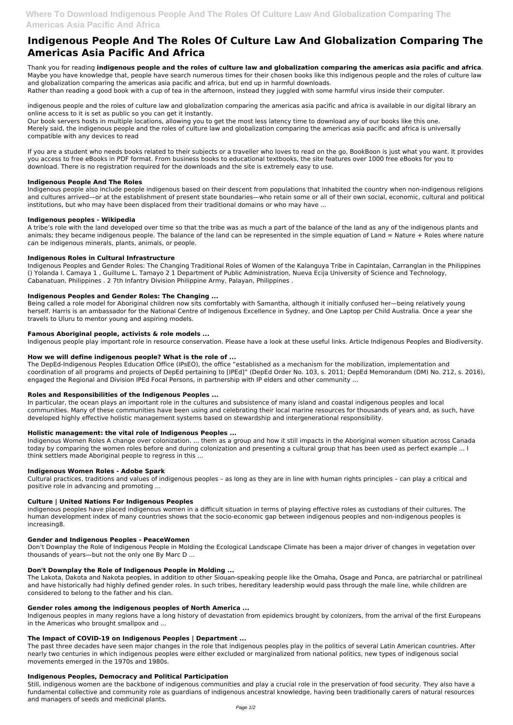# **Indigenous People And The Roles Of Culture Law And Globalization Comparing The Americas Asia Pacific And Africa**

Thank you for reading **indigenous people and the roles of culture law and globalization comparing the americas asia pacific and africa**. Maybe you have knowledge that, people have search numerous times for their chosen books like this indigenous people and the roles of culture law and globalization comparing the americas asia pacific and africa, but end up in harmful downloads.

Rather than reading a good book with a cup of tea in the afternoon, instead they juggled with some harmful virus inside their computer.

indigenous people and the roles of culture law and globalization comparing the americas asia pacific and africa is available in our digital library an online access to it is set as public so you can get it instantly.

Our book servers hosts in multiple locations, allowing you to get the most less latency time to download any of our books like this one. Merely said, the indigenous people and the roles of culture law and globalization comparing the americas asia pacific and africa is universally compatible with any devices to read

If you are a student who needs books related to their subjects or a traveller who loves to read on the go, BookBoon is just what you want. It provides you access to free eBooks in PDF format. From business books to educational textbooks, the site features over 1000 free eBooks for you to download. There is no registration required for the downloads and the site is extremely easy to use.

# **Indigenous People And The Roles**

Indigenous people also include people indigenous based on their descent from populations that inhabited the country when non-indigenous religions and cultures arrived—or at the establishment of present state boundaries—who retain some or all of their own social, economic, cultural and political institutions, but who may have been displaced from their traditional domains or who may have ...

# **Indigenous peoples - Wikipedia**

A tribe's role with the land developed over time so that the tribe was as much a part of the balance of the land as any of the indigenous plants and animals; they became indigenous people. The balance of the land can be represented in the simple equation of Land = Nature + Roles where nature can be indigenous minerals, plants, animals, or people.

# **Indigenous Roles in Cultural Infrastructure**

Indigenous Peoples and Gender Roles: The Changing Traditional Roles of Women of the Kalanguya Tribe in Capintalan, Carranglan in the Philippines () Yolanda I. Camaya 1 , Guillume L. Tamayo 2 1 Department of Public Administration, Nueva Ecija University of Science and Technology, Cabanatuan, Philippines . 2 7th Infantry Division Philippine Army, Palayan, Philippines .

# **Indigenous Peoples and Gender Roles: The Changing ...**

Being called a role model for Aboriginal children now sits comfortably with Samantha, although it initially confused her—being relatively young herself. Harris is an ambassador for the National Centre of Indigenous Excellence in Sydney, and One Laptop per Child Australia. Once a year she travels to Uluru to mentor young and aspiring models.

# **Famous Aboriginal people, activists & role models ...**

Indigenous people play important role in resource conservation. Please have a look at these useful links. Article Indigenous Peoples and Biodiversity.

# **How we will define indigenous people? What is the role of ...**

The DepEd-Indigenous Peoples Education Office (IPsEO), the office "established as a mechanism for the mobilization, implementation and coordination of all programs and projects of DepEd pertaining to [IPEd]" (DepEd Order No. 103, s. 2011; DepEd Memorandum (DM) No. 212, s. 2016), engaged the Regional and Division IPEd Focal Persons, in partnership with IP elders and other community ...

# **Roles and Responsibilities of the Indigenous Peoples ...**

In particular, the ocean plays an important role in the cultures and subsistence of many island and coastal indigenous peoples and local communities. Many of these communities have been using and celebrating their local marine resources for thousands of years and, as such, have developed highly effective holistic management systems based on stewardship and intergenerational responsibility.

#### **Holistic management: the vital role of Indigenous Peoples ...**

Indigenous Women Roles A change over colonization. ... them as a group and how it still impacts in the Aboriginal women situation across Canada today by comparing the women roles before and during colonization and presenting a cultural group that has been used as perfect example ... I think settlers made Aboriginal people to regress in this ...

#### **Indigenous Women Roles - Adobe Spark**

Cultural practices, traditions and values of indigenous peoples – as long as they are in line with human rights principles – can play a critical and positive role in advancing and promoting ...

#### **Culture | United Nations For Indigenous Peoples**

indigenous peoples have placed indigenous women in a difficult situation in terms of playing effective roles as custodians of their cultures. The human development index of many countries shows that the socio-economic gap between indigenous peoples and non-indigenous peoples is increasing8.

#### **Gender and Indigenous Peoples - PeaceWomen**

Don't Downplay the Role of Indigenous People in Molding the Ecological Landscape Climate has been a major driver of changes in vegetation over thousands of years—but not the only one By Marc D ...

# **Don't Downplay the Role of Indigenous People in Molding ...**

The Lakota, Dakota and Nakota peoples, in addition to other Siouan-speaking people like the Omaha, Osage and Ponca, are patriarchal or patrilineal and have historically had highly defined gender roles. In such tribes, hereditary leadership would pass through the male line, while children are considered to belong to the father and his clan.

#### **Gender roles among the indigenous peoples of North America ...**

Indigenous peoples in many regions have a long history of devastation from epidemics brought by colonizers, from the arrival of the first Europeans in the Americas who brought smallpox and ...

# **The Impact of COVID-19 on Indigenous Peoples | Department ...**

The past three decades have seen major changes in the role that indigenous peoples play in the politics of several Latin American countries. After nearly two centuries in which indigenous peoples were either excluded or marginalized from national politics, new types of indigenous social movements emerged in the 1970s and 1980s.

### **Indigenous Peoples, Democracy and Political Participation**

Still, indigenous women are the backbone of indigenous communities and play a crucial role in the preservation of food security. They also have a fundamental collective and community role as guardians of indigenous ancestral knowledge, having been traditionally carers of natural resources and managers of seeds and medicinal plants.